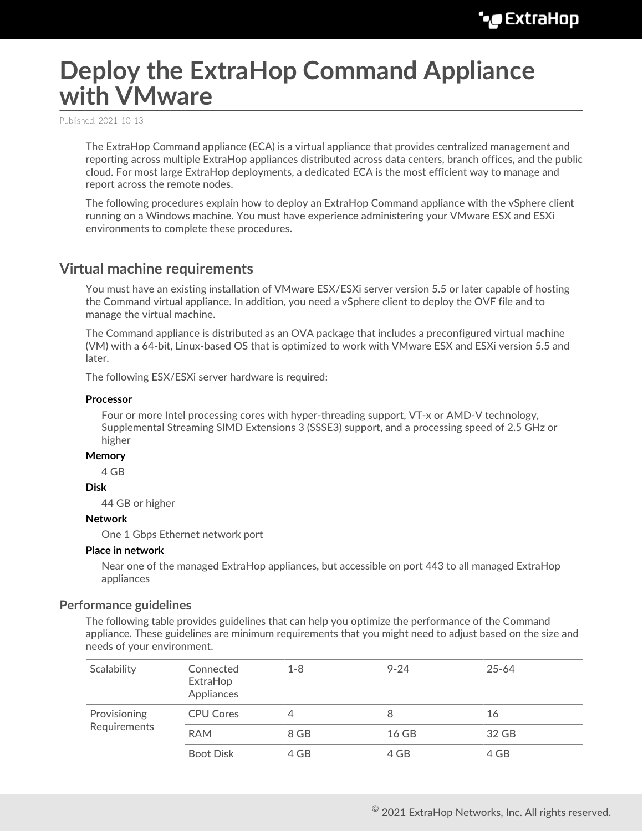# **Deploy the ExtraHop Command Appliance with VMware**

Published: 2021-10-13

The ExtraHop Command appliance (ECA) is a virtual appliance that provides centralized management and reporting across multiple ExtraHop appliances distributed across data centers, branch offices, and the public cloud. For most large ExtraHop deployments, a dedicated ECA is the most efficient way to manage and report across the remote nodes.

The following procedures explain how to deploy an ExtraHop Command appliance with the vSphere client running on a Windows machine. You must have experience administering your VMware ESX and ESXi environments to complete these procedures.

# **Virtual machine requirements**

You must have an existing installation of VMware ESX/ESXi server version 5.5 or later capable of hosting the Command virtual appliance. In addition, you need a vSphere client to deploy the OVF file and to manage the virtual machine.

The Command appliance is distributed as an OVA package that includes a preconfigured virtual machine (VM) with a 64-bit, Linux-based OS that is optimized to work with VMware ESX and ESXi version 5.5 and later.

The following ESX/ESXi server hardware is required:

#### **Processor**

Four or more Intel processing cores with hyper-threading support, VT-x or AMD-V technology, Supplemental Streaming SIMD Extensions 3 (SSSE3) support, and a processing speed of 2.5 GHz or higher

#### **Memory**

4 GB

#### **Disk**

44 GB or higher

#### **Network**

One 1 Gbps Ethernet network port

#### **Place in network**

Near one of the managed ExtraHop appliances, but accessible on port 443 to all managed ExtraHop appliances

#### **Performance guidelines**

The following table provides guidelines that can help you optimize the performance of the Command appliance. These guidelines are minimum requirements that you might need to adjust based on the size and needs of your environment.

| Scalability  | Connected<br>ExtraHop<br>Appliances | $1 - 8$ | $9 - 24$ | $25 - 64$ |
|--------------|-------------------------------------|---------|----------|-----------|
| Provisioning | <b>CPU Cores</b>                    |         | 8        | 16        |
| Requirements | <b>RAM</b>                          | 8 GB    | 16 GB    | 32 GB     |
|              | <b>Boot Disk</b>                    | 4 GB    | 4 GB     | 4 GB      |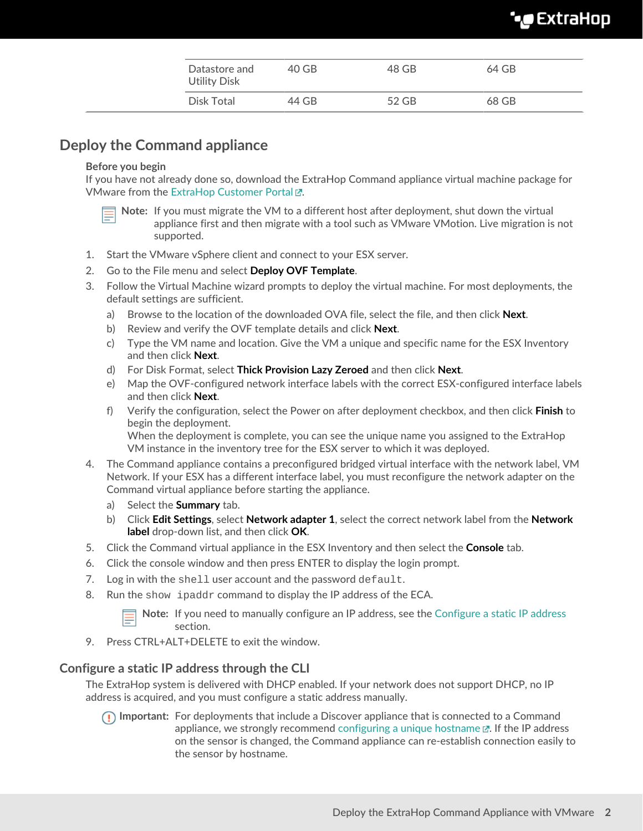# **∙e** ExtraHop

| Datastore and<br><b>Utility Disk</b> | 40 GB | 48 GB | 64 GB |
|--------------------------------------|-------|-------|-------|
| Disk Total                           | 44 GB | 52 GB | 68 GB |

# **Deploy the Command appliance**

#### **Before you begin**

If you have not already done so, download the ExtraHop Command appliance virtual machine package for VMware from the ExtraHop Customer Portal E.

- **Note:** If you must migrate the VM to a different host after deployment, shut down the virtual appliance first and then migrate with a tool such as VMware VMotion. Live migration is not supported.
- 1. Start the VMware vSphere client and connect to your ESX server.
- 2. Go to the File menu and select **Deploy OVF Template**.
- 3. Follow the Virtual Machine wizard prompts to deploy the virtual machine. For most deployments, the default settings are sufficient.
	- a) Browse to the location of the downloaded OVA file, select the file, and then click **Next**.
	- b) Review and verify the OVF template details and click **Next**.
	- c) Type the VM name and location. Give the VM a unique and specific name for the ESX Inventory and then click **Next**.
	- d) For Disk Format, select **Thick Provision Lazy Zeroed** and then click **Next**.
	- e) Map the OVF-configured network interface labels with the correct ESX-configured interface labels and then click **Next**.
	- f) Verify the configuration, select the Power on after deployment checkbox, and then click **Finish** to begin the deployment. When the deployment is complete, you can see the unique name you assigned to the ExtraHop VM instance in the inventory tree for the ESX server to which it was deployed.
- 4. The Command appliance contains a preconfigured bridged virtual interface with the network label, VM Network. If your ESX has a different interface label, you must reconfigure the network adapter on the Command virtual appliance before starting the appliance.
	- a) Select the **Summary** tab.
	- b) Click **Edit Settings**, select **Network adapter 1**, select the correct network label from the **Network label** drop-down list, and then click **OK**.
- 5. Click the Command virtual appliance in the ESX Inventory and then select the **Console** tab.
- 6. Click the console window and then press ENTER to display the login prompt.
- 7. Log in with the shell user account and the password default.
- 8. Run the show ipaddr command to display the IP address of the ECA.

**Note:** If you need to manually configure an IP address, see the [Configure a static IP address](#page-1-0) section.

9. Press CTRL+ALT+DELETE to exit the window.

## <span id="page-1-0"></span>**Configure a static IP address through the CLI**

The ExtraHop system is delivered with DHCP enabled. If your network does not support DHCP, no IP address is acquired, and you must configure a static address manually.

**Important:** For deployments that include a Discover appliance that is connected to a Command appliance, we strongly recommend [configuring a unique hostname](https://docs.extrahop.com/8.3/eta-admin-ui-guide/#connectivity)  $\mathbb{Z}$ . If the IP address on the sensor is changed, the Command appliance can re-establish connection easily to the sensor by hostname.